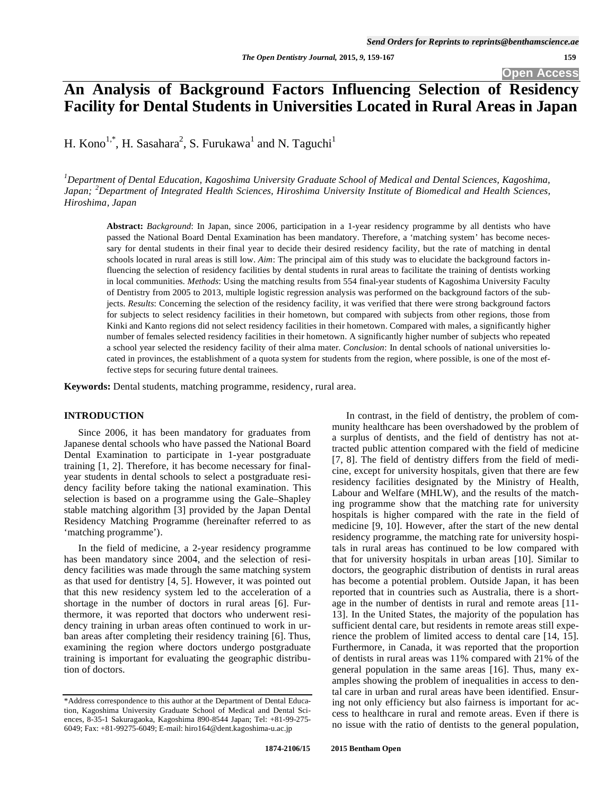# **An Analysis of Background Factors Influencing Selection of Residency Facility for Dental Students in Universities Located in Rural Areas in Japan**

H. Kono<sup>1,\*</sup>, H. Sasahara<sup>2</sup>, S. Furukawa<sup>1</sup> and N. Taguchi<sup>1</sup>

<sup>1</sup> Department of Dental Education, Kagoshima University Graduate School of Medical and Dental Sciences, Kagoshima, *Japan; <sup>2</sup> Department of Integrated Health Sciences, Hiroshima University Institute of Biomedical and Health Sciences, Hiroshima, Japan* 

**Abstract:** *Background*: In Japan, since 2006, participation in a 1-year residency programme by all dentists who have passed the National Board Dental Examination has been mandatory. Therefore, a 'matching system' has become necessary for dental students in their final year to decide their desired residency facility, but the rate of matching in dental schools located in rural areas is still low. *Aim*: The principal aim of this study was to elucidate the background factors influencing the selection of residency facilities by dental students in rural areas to facilitate the training of dentists working in local communities. *Methods*: Using the matching results from 554 final-year students of Kagoshima University Faculty of Dentistry from 2005 to 2013, multiple logistic regression analysis was performed on the background factors of the subjects. *Results*: Concerning the selection of the residency facility, it was verified that there were strong background factors for subjects to select residency facilities in their hometown, but compared with subjects from other regions, those from Kinki and Kanto regions did not select residency facilities in their hometown. Compared with males, a significantly higher number of females selected residency facilities in their hometown. A significantly higher number of subjects who repeated a school year selected the residency facility of their alma mater. *Conclusion*: In dental schools of national universities located in provinces, the establishment of a quota system for students from the region, where possible, is one of the most effective steps for securing future dental trainees.

**Keywords:** Dental students, matching programme, residency, rural area.

#### **INTRODUCTION**

Since 2006, it has been mandatory for graduates from Japanese dental schools who have passed the National Board Dental Examination to participate in 1-year postgraduate training [1, 2]. Therefore, it has become necessary for finalyear students in dental schools to select a postgraduate residency facility before taking the national examination. This selection is based on a programme using the Gale–Shapley stable matching algorithm [3] provided by the Japan Dental Residency Matching Programme (hereinafter referred to as 'matching programme').

In the field of medicine, a 2-year residency programme has been mandatory since 2004, and the selection of residency facilities was made through the same matching system as that used for dentistry [4, 5]. However, it was pointed out that this new residency system led to the acceleration of a shortage in the number of doctors in rural areas [6]. Furthermore, it was reported that doctors who underwent residency training in urban areas often continued to work in urban areas after completing their residency training [6]. Thus, examining the region where doctors undergo postgraduate training is important for evaluating the geographic distribution of doctors.

In contrast, in the field of dentistry, the problem of community healthcare has been overshadowed by the problem of a surplus of dentists, and the field of dentistry has not attracted public attention compared with the field of medicine [7, 8]. The field of dentistry differs from the field of medicine, except for university hospitals, given that there are few residency facilities designated by the Ministry of Health, Labour and Welfare (MHLW), and the results of the matching programme show that the matching rate for university hospitals is higher compared with the rate in the field of medicine [9, 10]. However, after the start of the new dental residency programme, the matching rate for university hospitals in rural areas has continued to be low compared with that for university hospitals in urban areas [10]. Similar to doctors, the geographic distribution of dentists in rural areas has become a potential problem. Outside Japan, it has been reported that in countries such as Australia, there is a shortage in the number of dentists in rural and remote areas [11- 13]. In the United States, the majority of the population has sufficient dental care, but residents in remote areas still experience the problem of limited access to dental care [14, 15]. Furthermore, in Canada, it was reported that the proportion of dentists in rural areas was 11% compared with 21% of the general population in the same areas [16]. Thus, many examples showing the problem of inequalities in access to dental care in urban and rural areas have been identified. Ensuring not only efficiency but also fairness is important for access to healthcare in rural and remote areas. Even if there is no issue with the ratio of dentists to the general population,

<sup>\*</sup>Address correspondence to this author at the Department of Dental Education, Kagoshima University Graduate School of Medical and Dental Sciences, 8-35-1 Sakuragaoka, Kagoshima 890-8544 Japan; Tel: +81-99-275- 6049; Fax: +81-99275-6049; E-mail: hiro164@dent.kagoshima-u.ac.jp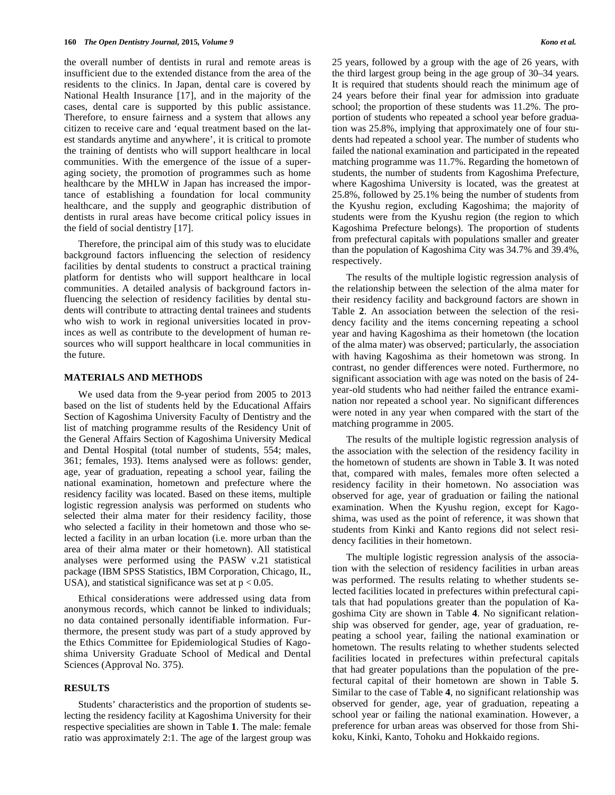the overall number of dentists in rural and remote areas is insufficient due to the extended distance from the area of the residents to the clinics. In Japan, dental care is covered by National Health Insurance [17], and in the majority of the cases, dental care is supported by this public assistance. Therefore, to ensure fairness and a system that allows any citizen to receive care and 'equal treatment based on the latest standards anytime and anywhere', it is critical to promote the training of dentists who will support healthcare in local communities. With the emergence of the issue of a superaging society, the promotion of programmes such as home healthcare by the MHLW in Japan has increased the importance of establishing a foundation for local community healthcare, and the supply and geographic distribution of dentists in rural areas have become critical policy issues in the field of social dentistry [17].

Therefore, the principal aim of this study was to elucidate background factors influencing the selection of residency facilities by dental students to construct a practical training platform for dentists who will support healthcare in local communities. A detailed analysis of background factors influencing the selection of residency facilities by dental students will contribute to attracting dental trainees and students who wish to work in regional universities located in provinces as well as contribute to the development of human resources who will support healthcare in local communities in the future.

#### **MATERIALS AND METHODS**

We used data from the 9-year period from 2005 to 2013 based on the list of students held by the Educational Affairs Section of Kagoshima University Faculty of Dentistry and the list of matching programme results of the Residency Unit of the General Affairs Section of Kagoshima University Medical and Dental Hospital (total number of students, 554; males, 361; females, 193). Items analysed were as follows: gender, age, year of graduation, repeating a school year, failing the national examination, hometown and prefecture where the residency facility was located. Based on these items, multiple logistic regression analysis was performed on students who selected their alma mater for their residency facility, those who selected a facility in their hometown and those who selected a facility in an urban location (i.e. more urban than the area of their alma mater or their hometown). All statistical analyses were performed using the PASW v.21 statistical package (IBM SPSS Statistics, IBM Corporation, Chicago, IL, USA), and statistical significance was set at  $p < 0.05$ .

Ethical considerations were addressed using data from anonymous records, which cannot be linked to individuals; no data contained personally identifiable information. Furthermore, the present study was part of a study approved by the Ethics Committee for Epidemiological Studies of Kagoshima University Graduate School of Medical and Dental Sciences (Approval No. 375).

### **RESULTS**

Students' characteristics and the proportion of students selecting the residency facility at Kagoshima University for their respective specialities are shown in Table **1**. The male: female ratio was approximately 2:1. The age of the largest group was 25 years, followed by a group with the age of 26 years, with the third largest group being in the age group of 30–34 years. It is required that students should reach the minimum age of 24 years before their final year for admission into graduate school; the proportion of these students was 11.2%. The proportion of students who repeated a school year before graduation was 25.8%, implying that approximately one of four students had repeated a school year. The number of students who failed the national examination and participated in the repeated matching programme was 11.7%. Regarding the hometown of students, the number of students from Kagoshima Prefecture, where Kagoshima University is located, was the greatest at 25.8%, followed by 25.1% being the number of students from the Kyushu region, excluding Kagoshima; the majority of students were from the Kyushu region (the region to which Kagoshima Prefecture belongs). The proportion of students from prefectural capitals with populations smaller and greater than the population of Kagoshima City was 34.7% and 39.4%, respectively.

The results of the multiple logistic regression analysis of the relationship between the selection of the alma mater for their residency facility and background factors are shown in Table **2**. An association between the selection of the residency facility and the items concerning repeating a school year and having Kagoshima as their hometown (the location of the alma mater) was observed; particularly, the association with having Kagoshima as their hometown was strong. In contrast, no gender differences were noted. Furthermore, no significant association with age was noted on the basis of 24 year-old students who had neither failed the entrance examination nor repeated a school year. No significant differences were noted in any year when compared with the start of the matching programme in 2005.

The results of the multiple logistic regression analysis of the association with the selection of the residency facility in the hometown of students are shown in Table **3**. It was noted that, compared with males, females more often selected a residency facility in their hometown. No association was observed for age, year of graduation or failing the national examination. When the Kyushu region, except for Kagoshima, was used as the point of reference, it was shown that students from Kinki and Kanto regions did not select residency facilities in their hometown.

The multiple logistic regression analysis of the association with the selection of residency facilities in urban areas was performed. The results relating to whether students selected facilities located in prefectures within prefectural capitals that had populations greater than the population of Kagoshima City are shown in Table **4**. No significant relationship was observed for gender, age, year of graduation, repeating a school year, failing the national examination or hometown. The results relating to whether students selected facilities located in prefectures within prefectural capitals that had greater populations than the population of the prefectural capital of their hometown are shown in Table **5**. Similar to the case of Table **4**, no significant relationship was observed for gender, age, year of graduation, repeating a school year or failing the national examination. However, a preference for urban areas was observed for those from Shikoku, Kinki, Kanto, Tohoku and Hokkaido regions.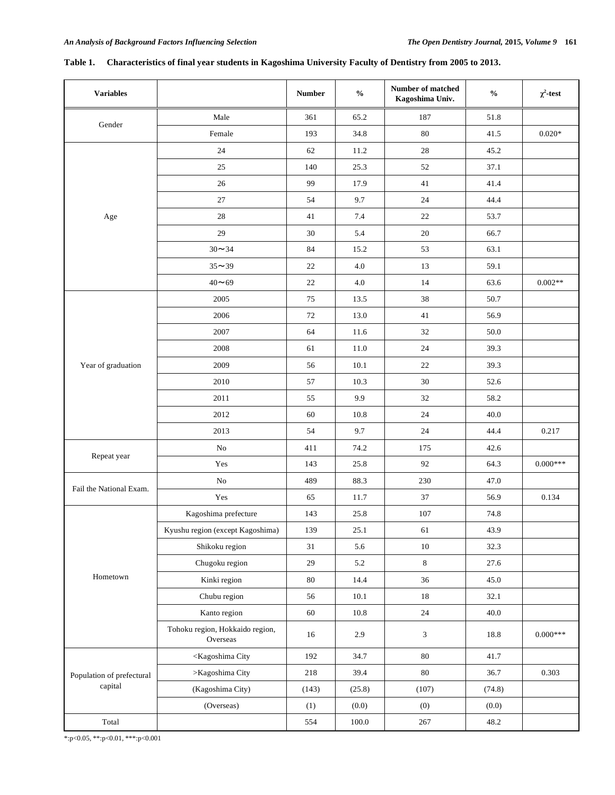| <b>Variables</b>          |                                                                                                  | <b>Number</b> | $\frac{0}{0}$ | Number of matched<br>Kagoshima Univ. | $\frac{0}{0}$ | $\chi^2$ -test |
|---------------------------|--------------------------------------------------------------------------------------------------|---------------|---------------|--------------------------------------|---------------|----------------|
|                           | Male                                                                                             | 361           | 65.2          | 187                                  | 51.8          |                |
| Gender                    | Female                                                                                           | 193           | 34.8          | $80\,$                               | 41.5          | $0.020*$       |
|                           | 24                                                                                               | 62            | 11.2          | $28\,$                               | 45.2          |                |
|                           | $25\,$                                                                                           | 140           | 25.3          | $52\,$                               | 37.1          |                |
|                           | 26                                                                                               | 99            | 17.9          | 41                                   | 41.4          |                |
|                           | $27\,$                                                                                           | 54            | 9.7           | $24\,$                               | 44.4          |                |
| Age                       | 28                                                                                               | 41            | 7.4           | $22\,$                               | 53.7          |                |
|                           | 29                                                                                               | $30\,$        | 5.4           | $20\,$                               | 66.7          |                |
|                           | $30 - 34$                                                                                        | 84            | 15.2          | 53                                   | 63.1          |                |
|                           | $35 - 39$                                                                                        | 22            | 4.0           | 13                                   | 59.1          |                |
|                           | $40 - 69$                                                                                        | 22            | 4.0           | 14                                   | 63.6          | $0.002**$      |
|                           | 2005                                                                                             | 75            | 13.5          | 38                                   | 50.7          |                |
|                           | 2006                                                                                             | 72            | 13.0          | 41                                   | 56.9          |                |
|                           | 2007                                                                                             | 64            | 11.6          | $32\,$                               | 50.0          |                |
|                           | 2008                                                                                             | 61            | 11.0          | 24                                   | 39.3          |                |
| Year of graduation        | 2009                                                                                             | 56            | 10.1          | 22                                   | 39.3          |                |
|                           | 2010                                                                                             | 57            | 10.3          | $30\,$                               | 52.6          |                |
|                           | 2011                                                                                             | 55            | 9.9           | 32                                   | 58.2          |                |
|                           | 2012                                                                                             | 60            | 10.8          | 24                                   | 40.0          |                |
|                           | 2013                                                                                             | 54            | 9.7           | $24\,$                               | 44.4          | 0.217          |
|                           | No                                                                                               | 411           | 74.2          | 175                                  | 42.6          |                |
| Repeat year               | Yes                                                                                              | 143           | 25.8          | 92                                   | 64.3          | $0.000***$     |
| Fail the National Exam.   | $\rm No$                                                                                         | 489           | 88.3          | 230                                  | 47.0          |                |
|                           | Yes                                                                                              | 65            | 11.7          | 37                                   | 56.9          | 0.134          |
|                           | Kagoshima prefecture                                                                             | 143           | 25.8          | 107                                  | 74.8          |                |
|                           | Kyushu region (except Kagoshima)                                                                 | 139           | 25.1          | 61                                   | 43.9          |                |
|                           | Shikoku region                                                                                   | 31            | 5.6           | $10\,$                               | 32.3          |                |
|                           | Chugoku region                                                                                   | 29            | 5.2           | $\,8\,$                              | 27.6          |                |
| Hometown                  | Kinki region                                                                                     | $80\,$        | 14.4          | 36                                   | 45.0          |                |
|                           | Chubu region                                                                                     | 56            | $10.1\,$      | $18\,$                               | 32.1          |                |
|                           | Kanto region                                                                                     | 60            | $10.8\,$      | $24\,$                               | 40.0          |                |
|                           | Tohoku region, Hokkaido region,<br>Overseas                                                      | 16            | 2.9           | $\mathfrak{Z}$                       | 18.8          | $0.000***$     |
|                           | <kagoshima city<="" td=""><td>192</td><td>34.7</td><td>80</td><td>41.7</td><td></td></kagoshima> | 192           | 34.7          | 80                                   | 41.7          |                |
| Population of prefectural | >Kagoshima City                                                                                  | 218           | 39.4          | 80                                   | 36.7          | 0.303          |
| capital                   | (Kagoshima City)                                                                                 | (143)         | (25.8)        | (107)                                | (74.8)        |                |
|                           | (Overseas)                                                                                       | (1)           | (0.0)         | (0)                                  | (0.0)         |                |
| Total                     |                                                                                                  | 554           | $100.0\,$     | $267\,$                              | 48.2          |                |

# **Table 1. Characteristics of final year students in Kagoshima University Faculty of Dentistry from 2005 to 2013.**

\*:p<0.05, \*\*:p<0.01, \*\*\*:p<0.001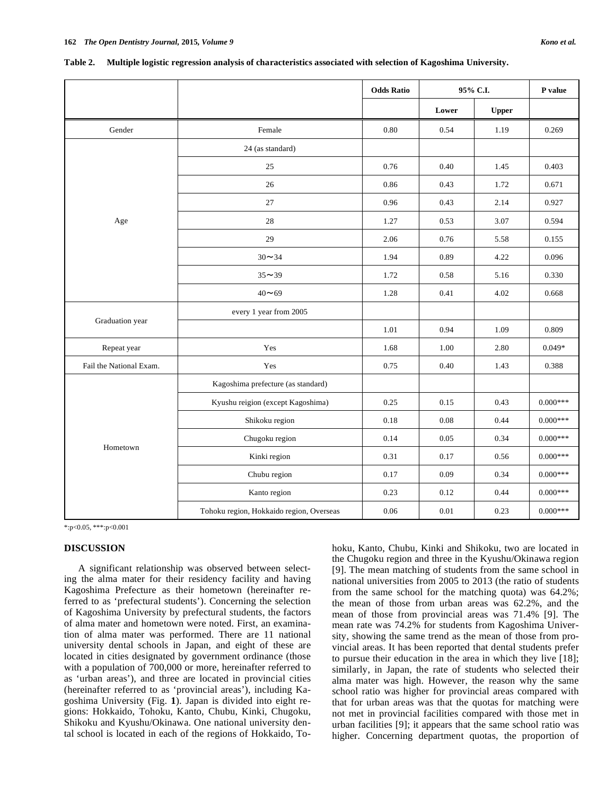|                         |                                          | <b>Odds Ratio</b> | 95% C.I. |              | P value    |
|-------------------------|------------------------------------------|-------------------|----------|--------------|------------|
|                         |                                          |                   | Lower    | <b>Upper</b> |            |
| Gender                  | Female                                   | 0.80              | 0.54     | 1.19         | 0.269      |
|                         | 24 (as standard)                         |                   |          |              |            |
|                         | 25                                       | 0.76              | 0.40     | 1.45         | 0.403      |
|                         | 26                                       | 0.86              | 0.43     | 1.72         | 0.671      |
|                         | 27                                       | 0.96              | 0.43     | 2.14         | 0.927      |
| Age                     | $28\,$                                   | 1.27              | 0.53     | 3.07         | 0.594      |
|                         | 29                                       | 2.06              | 0.76     | 5.58         | 0.155      |
|                         | $30 - 34$                                | 1.94              | 0.89     | 4.22         | 0.096      |
|                         | $35 - 39$                                | 1.72              | 0.58     | 5.16         | 0.330      |
|                         | $40 - 69$                                | 1.28              | 0.41     | 4.02         | 0.668      |
|                         | every 1 year from 2005                   |                   |          |              |            |
| Graduation year         |                                          | 1.01              | 0.94     | 1.09         | 0.809      |
| Repeat year             | Yes                                      | 1.68              | 1.00     | 2.80         | $0.049*$   |
| Fail the National Exam. | Yes                                      | 0.75              | 0.40     | 1.43         | 0.388      |
|                         | Kagoshima prefecture (as standard)       |                   |          |              |            |
|                         | Kyushu reigion (except Kagoshima)        | 0.25              | 0.15     | 0.43         | $0.000***$ |
|                         | Shikoku region                           | 0.18              | 0.08     | 0.44         | $0.000***$ |
|                         | Chugoku region                           | 0.14              | 0.05     | 0.34         | $0.000***$ |
| Hometown                | Kinki region                             | 0.31              | 0.17     | 0.56         | $0.000***$ |
|                         | Chubu region                             | 0.17              | 0.09     | 0.34         | $0.000***$ |
|                         | Kanto region                             | 0.23              | 0.12     | 0.44         | $0.000***$ |
|                         | Tohoku region, Hokkaido region, Overseas | 0.06              | 0.01     | 0.23         | $0.000***$ |

| Table 2. | Multiple logistic regression analysis of characteristics associated with selection of Kagoshima University. |  |  |  |  |  |  |  |
|----------|-------------------------------------------------------------------------------------------------------------|--|--|--|--|--|--|--|
|----------|-------------------------------------------------------------------------------------------------------------|--|--|--|--|--|--|--|

\*:p<0.05, \*\*\*:p<0.001

#### **DISCUSSION**

A significant relationship was observed between selecting the alma mater for their residency facility and having Kagoshima Prefecture as their hometown (hereinafter referred to as 'prefectural students'). Concerning the selection of Kagoshima University by prefectural students, the factors of alma mater and hometown were noted. First, an examination of alma mater was performed. There are 11 national university dental schools in Japan, and eight of these are located in cities designated by government ordinance (those with a population of 700,000 or more, hereinafter referred to as 'urban areas'), and three are located in provincial cities (hereinafter referred to as 'provincial areas'), including Kagoshima University (Fig. **1**). Japan is divided into eight regions: Hokkaido, Tohoku, Kanto, Chubu, Kinki, Chugoku, Shikoku and Kyushu/Okinawa. One national university dental school is located in each of the regions of Hokkaido, Tohoku, Kanto, Chubu, Kinki and Shikoku, two are located in the Chugoku region and three in the Kyushu/Okinawa region [9]. The mean matching of students from the same school in national universities from 2005 to 2013 (the ratio of students from the same school for the matching quota) was 64.2%; the mean of those from urban areas was 62.2%, and the mean of those from provincial areas was 71.4% [9]. The mean rate was 74.2% for students from Kagoshima University, showing the same trend as the mean of those from provincial areas. It has been reported that dental students prefer to pursue their education in the area in which they live [18]; similarly, in Japan, the rate of students who selected their alma mater was high. However, the reason why the same school ratio was higher for provincial areas compared with that for urban areas was that the quotas for matching were not met in provincial facilities compared with those met in urban facilities [9]; it appears that the same school ratio was higher. Concerning department quotas, the proportion of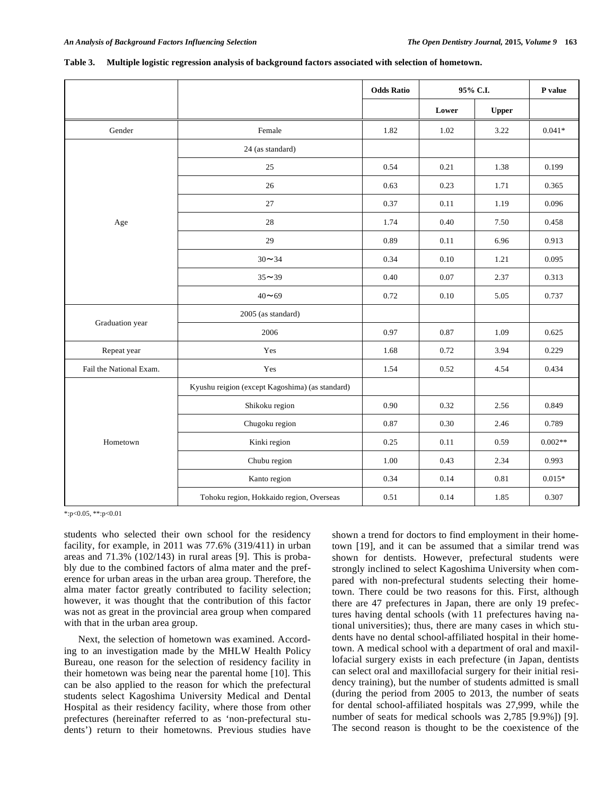|                         |                                                 | <b>Odds Ratio</b> |          | 95% C.I.     |           |
|-------------------------|-------------------------------------------------|-------------------|----------|--------------|-----------|
|                         |                                                 |                   | Lower    | <b>Upper</b> |           |
| Gender                  | Female                                          | 1.82              | 1.02     | 3.22         | $0.041*$  |
|                         | 24 (as standard)                                |                   |          |              |           |
|                         | 25                                              | 0.54              | 0.21     | 1.38         | 0.199     |
|                         | 26                                              | 0.63              | 0.23     | 1.71         | 0.365     |
|                         | 27                                              | 0.37              | 0.11     | 1.19         | 0.096     |
| Age                     | 28                                              | 1.74              | 0.40     | 7.50         | 0.458     |
|                         | 29                                              | 0.89              | 0.11     | 6.96         | 0.913     |
|                         | $30 - 34$                                       | 0.34              | 0.10     | 1.21         | 0.095     |
|                         | $35 - 39$                                       | $0.40\,$          | $0.07\,$ | 2.37         | 0.313     |
|                         | $40 - 69$                                       | 0.72              | 0.10     | 5.05         | 0.737     |
|                         | 2005 (as standard)                              |                   |          |              |           |
| Graduation year         | 2006                                            | 0.97              | 0.87     | 1.09         | 0.625     |
| Repeat year             | Yes                                             | 1.68              | 0.72     | 3.94         | 0.229     |
| Fail the National Exam. | Yes                                             | 1.54              | 0.52     | 4.54         | 0.434     |
|                         | Kyushu reigion (except Kagoshima) (as standard) |                   |          |              |           |
|                         | Shikoku region                                  | 0.90              | 0.32     | 2.56         | 0.849     |
|                         | Chugoku region                                  | 0.87              | 0.30     | 2.46         | 0.789     |
| Hometown                | Kinki region                                    | 0.25              | 0.11     | 0.59         | $0.002**$ |
|                         | Chubu region                                    | 1.00              | 0.43     | 2.34         | 0.993     |
|                         | Kanto region                                    | 0.34              | 0.14     | 0.81         | $0.015*$  |
|                         | Tohoku region, Hokkaido region, Overseas        | 0.51              | 0.14     | 1.85         | 0.307     |

| Table 3. |  |  | Multiple logistic regression analysis of background factors associated with selection of hometown. |
|----------|--|--|----------------------------------------------------------------------------------------------------|
|----------|--|--|----------------------------------------------------------------------------------------------------|

\*:p<0.05, \*\*:p<0.01

students who selected their own school for the residency facility, for example, in 2011 was 77.6% (319/411) in urban areas and 71.3% (102/143) in rural areas [9]. This is probably due to the combined factors of alma mater and the preference for urban areas in the urban area group. Therefore, the alma mater factor greatly contributed to facility selection; however, it was thought that the contribution of this factor was not as great in the provincial area group when compared with that in the urban area group.

Next, the selection of hometown was examined. According to an investigation made by the MHLW Health Policy Bureau, one reason for the selection of residency facility in their hometown was being near the parental home [10]. This can be also applied to the reason for which the prefectural students select Kagoshima University Medical and Dental Hospital as their residency facility, where those from other prefectures (hereinafter referred to as 'non-prefectural students') return to their hometowns. Previous studies have shown a trend for doctors to find employment in their hometown [19], and it can be assumed that a similar trend was shown for dentists. However, prefectural students were strongly inclined to select Kagoshima University when compared with non-prefectural students selecting their hometown. There could be two reasons for this. First, although there are 47 prefectures in Japan, there are only 19 prefectures having dental schools (with 11 prefectures having national universities); thus, there are many cases in which students have no dental school-affiliated hospital in their hometown. A medical school with a department of oral and maxillofacial surgery exists in each prefecture (in Japan, dentists can select oral and maxillofacial surgery for their initial residency training), but the number of students admitted is small (during the period from 2005 to 2013, the number of seats for dental school-affiliated hospitals was 27,999, while the number of seats for medical schools was 2,785 [9.9%]) [9]. The second reason is thought to be the coexistence of the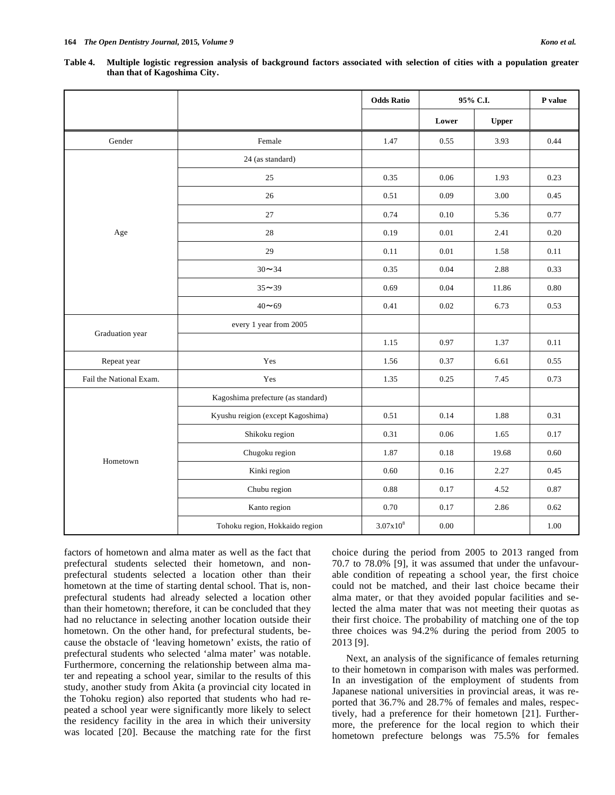|                         |                                    | <b>Odds Ratio</b> |          | 95% C.I.     | P value  |
|-------------------------|------------------------------------|-------------------|----------|--------------|----------|
|                         |                                    |                   | Lower    | <b>Upper</b> |          |
| Gender                  | Female                             | 1.47              | 0.55     | 3.93         | 0.44     |
|                         | 24 (as standard)                   |                   |          |              |          |
|                         | 25                                 | 0.35              | 0.06     | 1.93         | 0.23     |
|                         | 26                                 | 0.51              | 0.09     | 3.00         | 0.45     |
|                         | 27                                 | 0.74              | 0.10     | 5.36         | 0.77     |
| Age                     | 28                                 | 0.19              | 0.01     | 2.41         | 0.20     |
|                         | 29                                 | 0.11              | 0.01     | 1.58         | 0.11     |
|                         | $30 - 34$                          | 0.35              | 0.04     | 2.88         | 0.33     |
|                         | $35 - 39$                          | 0.69              | 0.04     | 11.86        | 0.80     |
|                         | $40 - 69$                          | 0.41              | $0.02\,$ | 6.73         | 0.53     |
|                         | every 1 year from 2005             |                   |          |              |          |
| Graduation year         |                                    | 1.15              | 0.97     | 1.37         | 0.11     |
| Repeat year             | Yes                                | 1.56              | 0.37     | 6.61         | 0.55     |
| Fail the National Exam. | Yes                                | 1.35              | 0.25     | 7.45         | 0.73     |
|                         | Kagoshima prefecture (as standard) |                   |          |              |          |
|                         | Kyushu reigion (except Kagoshima)  | 0.51              | 0.14     | 1.88         | 0.31     |
|                         | Shikoku region                     | 0.31              | 0.06     | 1.65         | 0.17     |
|                         | Chugoku region                     | 1.87              | 0.18     | 19.68        | 0.60     |
| Hometown                | Kinki region                       | 0.60              | 0.16     | 2.27         | 0.45     |
|                         | Chubu region                       | 0.88              | 0.17     | 4.52         | 0.87     |
|                         | Kanto region                       | 0.70              | 0.17     | 2.86         | 0.62     |
|                         | Tohoku region, Hokkaido region     | $3.07x10^{8}$     | $0.00\,$ |              | $1.00\,$ |

**Table 4. Multiple logistic regression analysis of background factors associated with selection of cities with a population greater than that of Kagoshima City.** 

factors of hometown and alma mater as well as the fact that prefectural students selected their hometown, and nonprefectural students selected a location other than their hometown at the time of starting dental school. That is, nonprefectural students had already selected a location other than their hometown; therefore, it can be concluded that they had no reluctance in selecting another location outside their hometown. On the other hand, for prefectural students, because the obstacle of 'leaving hometown' exists, the ratio of prefectural students who selected 'alma mater' was notable. Furthermore, concerning the relationship between alma mater and repeating a school year, similar to the results of this study, another study from Akita (a provincial city located in the Tohoku region) also reported that students who had repeated a school year were significantly more likely to select the residency facility in the area in which their university was located [20]. Because the matching rate for the first choice during the period from 2005 to 2013 ranged from 70.7 to 78.0% [9], it was assumed that under the unfavourable condition of repeating a school year, the first choice could not be matched, and their last choice became their alma mater, or that they avoided popular facilities and selected the alma mater that was not meeting their quotas as their first choice. The probability of matching one of the top three choices was 94.2% during the period from 2005 to 2013 [9].

Next, an analysis of the significance of females returning to their hometown in comparison with males was performed. In an investigation of the employment of students from Japanese national universities in provincial areas, it was reported that 36.7% and 28.7% of females and males, respectively, had a preference for their hometown [21]. Furthermore, the preference for the local region to which their hometown prefecture belongs was 75.5% for females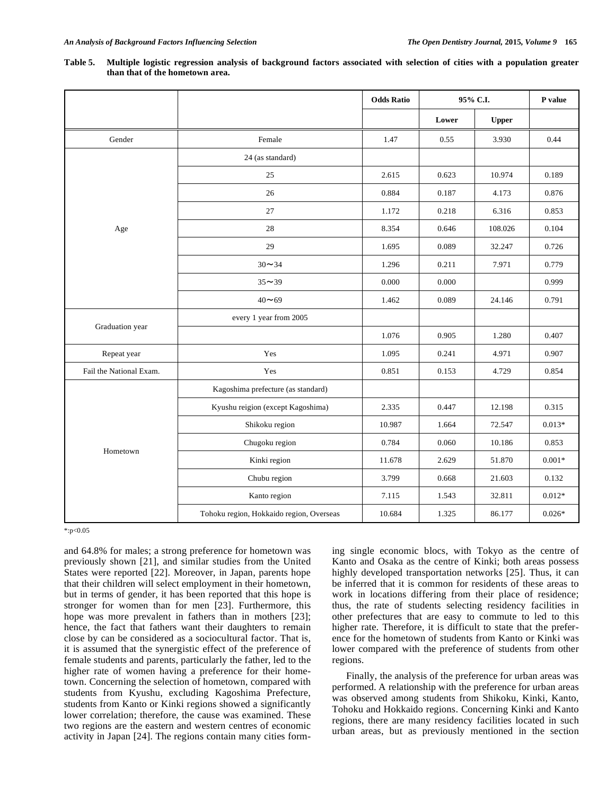|                         |                                          | <b>Odds Ratio</b> |           | 95% C.I. | P value  |
|-------------------------|------------------------------------------|-------------------|-----------|----------|----------|
|                         |                                          |                   | Lower     | Upper    |          |
| Gender                  | Female                                   | 1.47              | 0.55      | 3.930    | 0.44     |
|                         | 24 (as standard)                         |                   |           |          |          |
|                         | 25                                       | 2.615             | 0.623     | 10.974   | 0.189    |
|                         | 26                                       | 0.884             | 0.187     | 4.173    | 0.876    |
|                         | 27                                       | 1.172             | 0.218     | 6.316    | 0.853    |
| Age                     | 28                                       | 8.354             | 0.646     | 108.026  | 0.104    |
|                         | 29                                       | 1.695             | 0.089     | 32.247   | 0.726    |
|                         | $30 - 34$                                | 1.296             | 0.211     | 7.971    | 0.779    |
|                         | $35 - 39$                                | 0.000             | $0.000\,$ |          | 0.999    |
|                         | $40 - 69$                                | 1.462             | 0.089     | 24.146   | 0.791    |
|                         | every 1 year from 2005                   |                   |           |          |          |
| Graduation year         |                                          | 1.076             | 0.905     | 1.280    | 0.407    |
| Yes<br>Repeat year      |                                          | 1.095             | 0.241     | 4.971    | 0.907    |
| Fail the National Exam. | Yes                                      | 0.851             | 0.153     | 4.729    | 0.854    |
|                         | Kagoshima prefecture (as standard)       |                   |           |          |          |
|                         | Kyushu reigion (except Kagoshima)        | 2.335             | 0.447     | 12.198   | 0.315    |
|                         | Shikoku region                           | 10.987            | 1.664     | 72.547   | $0.013*$ |
|                         | Chugoku region                           | 0.784             | 0.060     | 10.186   | 0.853    |
| Hometown                | Kinki region                             | 11.678            | 2.629     | 51.870   | $0.001*$ |
|                         | Chubu region                             | 3.799             | 0.668     | 21.603   | 0.132    |
|                         | Kanto region                             | 7.115             | 1.543     | 32.811   | $0.012*$ |
|                         | Tohoku region, Hokkaido region, Overseas | 10.684            | 1.325     | 86.177   | $0.026*$ |

| Table 5. Multiple logistic regression analysis of background factors associated with selection of cities with a population greater |  |  |  |  |  |
|------------------------------------------------------------------------------------------------------------------------------------|--|--|--|--|--|
| than that of the hometown area.                                                                                                    |  |  |  |  |  |

\*:p<0.05

and 64.8% for males; a strong preference for hometown was previously shown [21], and similar studies from the United States were reported [22]. Moreover, in Japan, parents hope that their children will select employment in their hometown, but in terms of gender, it has been reported that this hope is stronger for women than for men [23]. Furthermore, this hope was more prevalent in fathers than in mothers [23]; hence, the fact that fathers want their daughters to remain close by can be considered as a sociocultural factor. That is, it is assumed that the synergistic effect of the preference of female students and parents, particularly the father, led to the higher rate of women having a preference for their hometown. Concerning the selection of hometown, compared with students from Kyushu, excluding Kagoshima Prefecture, students from Kanto or Kinki regions showed a significantly lower correlation; therefore, the cause was examined. These two regions are the eastern and western centres of economic activity in Japan [24]. The regions contain many cities forming single economic blocs, with Tokyo as the centre of Kanto and Osaka as the centre of Kinki; both areas possess highly developed transportation networks [25]. Thus, it can be inferred that it is common for residents of these areas to work in locations differing from their place of residence; thus, the rate of students selecting residency facilities in other prefectures that are easy to commute to led to this higher rate. Therefore, it is difficult to state that the preference for the hometown of students from Kanto or Kinki was lower compared with the preference of students from other regions.

Finally, the analysis of the preference for urban areas was performed. A relationship with the preference for urban areas was observed among students from Shikoku, Kinki, Kanto, Tohoku and Hokkaido regions. Concerning Kinki and Kanto regions, there are many residency facilities located in such urban areas, but as previously mentioned in the section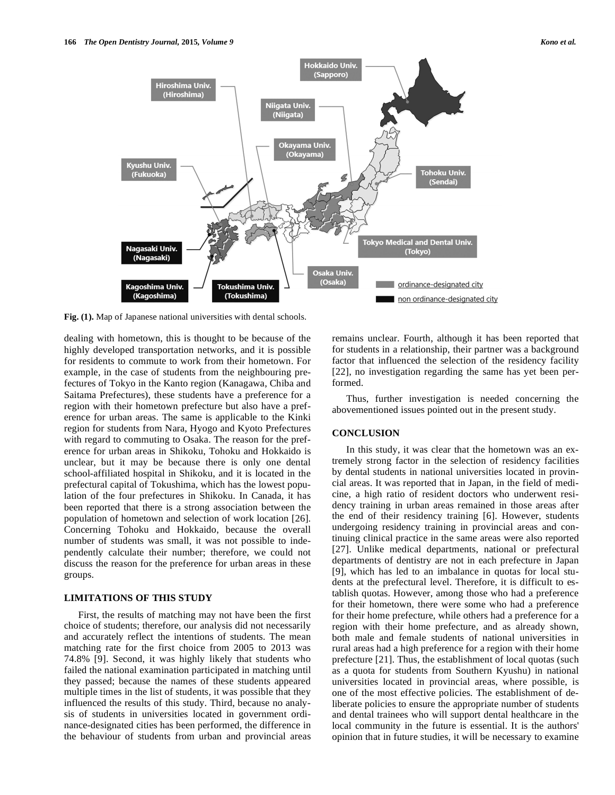

**Fig. (1).** Map of Japanese national universities with dental schools.

dealing with hometown, this is thought to be because of the highly developed transportation networks, and it is possible for residents to commute to work from their hometown. For example, in the case of students from the neighbouring prefectures of Tokyo in the Kanto region (Kanagawa, Chiba and Saitama Prefectures), these students have a preference for a region with their hometown prefecture but also have a preference for urban areas. The same is applicable to the Kinki region for students from Nara, Hyogo and Kyoto Prefectures with regard to commuting to Osaka. The reason for the preference for urban areas in Shikoku, Tohoku and Hokkaido is unclear, but it may be because there is only one dental school-affiliated hospital in Shikoku, and it is located in the prefectural capital of Tokushima, which has the lowest population of the four prefectures in Shikoku. In Canada, it has been reported that there is a strong association between the population of hometown and selection of work location [26]. Concerning Tohoku and Hokkaido, because the overall number of students was small, it was not possible to independently calculate their number; therefore, we could not discuss the reason for the preference for urban areas in these groups.

#### **LIMITATIONS OF THIS STUDY**

First, the results of matching may not have been the first choice of students; therefore, our analysis did not necessarily and accurately reflect the intentions of students. The mean matching rate for the first choice from 2005 to 2013 was 74.8% [9]. Second, it was highly likely that students who failed the national examination participated in matching until they passed; because the names of these students appeared multiple times in the list of students, it was possible that they influenced the results of this study. Third, because no analysis of students in universities located in government ordinance-designated cities has been performed, the difference in the behaviour of students from urban and provincial areas remains unclear. Fourth, although it has been reported that for students in a relationship, their partner was a background factor that influenced the selection of the residency facility [22], no investigation regarding the same has yet been performed.

Thus, further investigation is needed concerning the abovementioned issues pointed out in the present study.

#### **CONCLUSION**

In this study, it was clear that the hometown was an extremely strong factor in the selection of residency facilities by dental students in national universities located in provincial areas. It was reported that in Japan, in the field of medicine, a high ratio of resident doctors who underwent residency training in urban areas remained in those areas after the end of their residency training [6]. However, students undergoing residency training in provincial areas and continuing clinical practice in the same areas were also reported [27]. Unlike medical departments, national or prefectural departments of dentistry are not in each prefecture in Japan [9], which has led to an imbalance in quotas for local students at the prefectural level. Therefore, it is difficult to establish quotas. However, among those who had a preference for their hometown, there were some who had a preference for their home prefecture, while others had a preference for a region with their home prefecture, and as already shown, both male and female students of national universities in rural areas had a high preference for a region with their home prefecture [21]. Thus, the establishment of local quotas (such as a quota for students from Southern Kyushu) in national universities located in provincial areas, where possible, is one of the most effective policies. The establishment of deliberate policies to ensure the appropriate number of students and dental trainees who will support dental healthcare in the local community in the future is essential. It is the authors' opinion that in future studies, it will be necessary to examine